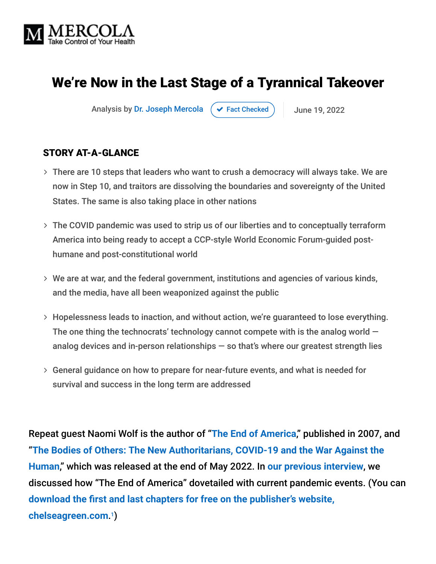

# We're Now in the Last Stage of a Tyrannical Takeover

Analysis by [Dr. Joseph Mercola](https://www.mercola.com/forms/background.htm)  $\left( \right. \times$  [Fact Checked](javascript:void(0))  $\left. \right)$  June 19, 2022

#### STORY AT-A-GLANCE

- There are 10 steps that leaders who want to crush a democracy will always take. We are now in Step 10, and traitors are dissolving the boundaries and sovereignty of the United States. The same is also taking place in other nations
- The COVID pandemic was used to strip us of our liberties and to conceptually terraform America into being ready to accept a CCP-style World Economic Forum-guided posthumane and post-constitutional world
- We are at war, and the federal government, institutions and agencies of various kinds, and the media, have all been weaponized against the public
- Hopelessness leads to inaction, and without action, we're guaranteed to lose everything. The one thing the technocrats' technology cannot compete with is the analog world  $$ analog devices and in-person relationships  $-$  so that's where our greatest strength lies
- General guidance on how to prepare for near-future events, and what is needed for survival and success in the long term are addressed

Repeat guest Naomi Wolf is the author of "**[The End of America](https://www.chelseagreen.com/product/the-end-of-america/)**," published in 2007, and "**[The Bodies of Others: The New Authoritarians, COVID-19 and the War Against the](https://www.allseasonspress.com/the-bodies-of-others) Human**," which was released at the end of May 2022. In **[our previous interview](https://takecontrol.substack.com/p/naomi-wolf-the-end-of-america?s=r)**, we discussed how "The End of America" dovetailed with current pandemic events. (You can **[download the first and last chapters for free on the publisher's website,](https://www.chelseagreen.com/product/the-end-of-america/)** chelseagreen.com.<sup>1</sup>)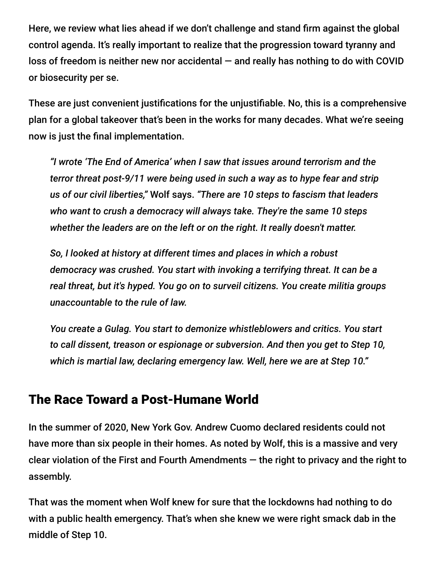Here, we review what lies ahead if we don't challenge and stand firm against the global control agenda. It's really important to realize that the progression toward tyranny and loss of freedom is neither new nor accidental  $-$  and really has nothing to do with COVID or biosecurity per se.

These are just convenient justifications for the unjustifiable. No, this is a comprehensive plan for a global takeover that's been in the works for many decades. What we're seeing now is just the final implementation.

*"I wrote 'The End of America' when I saw that issues around terrorism and the terror threat post-9/11 were being used in such a way as to hype fear and strip us of our civil liberties,"* Wolf says. *"There are 10 steps to fascism that leaders who want to crush a democracy will always take. They're the same 10 steps whether the leaders are on the left or on the right. It really doesn't matter.*

*So, I looked at history at different times and places in which a robust democracy was crushed. You start with invoking a terrifying threat. It can be a real threat, but it's hyped. You go on to surveil citizens. You create militia groups unaccountable to the rule of law.*

*You create a Gulag. You start to demonize whistleblowers and critics. You start to call dissent, treason or espionage or subversion. And then you get to Step 10, which is martial law, declaring emergency law. Well, here we are at Step 10."*

#### The Race Toward a Post-Humane World

In the summer of 2020, New York Gov. Andrew Cuomo declared residents could not have more than six people in their homes. As noted by Wolf, this is a massive and very clear violation of the First and Fourth Amendments  $-$  the right to privacy and the right to assembly.

That was the moment when Wolf knew for sure that the lockdowns had nothing to do with a public health emergency. That's when she knew we were right smack dab in the middle of Step 10.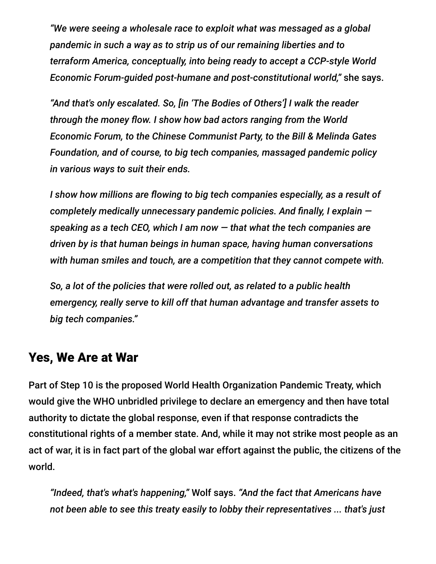*"We were seeing a wholesale race to exploit what was messaged as a global pandemic in such a way as to strip us of our remaining liberties and to terraform America, conceptually, into being ready to accept a CCP-style World Economic Forum-guided post-humane and post-constitutional world,"* she says.

*"And that's only escalated. So, [in 'The Bodies of Others'] I walk the reader through the money flow. I show how bad actors ranging from the World Economic Forum, to the Chinese Communist Party, to the Bill & Melinda Gates Foundation, and of course, to big tech companies, massaged pandemic policy in various ways to suit their ends.*

*I show how millions are flowing to big tech companies especially, as a result of completely medically unnecessary pandemic policies. And finally, I explain speaking as a tech CEO, which I am now — that what the tech companies are driven by is that human beings in human space, having human conversations with human smiles and touch, are a competition that they cannot compete with.*

*So, a lot of the policies that were rolled out, as related to a public health emergency, really serve to kill off that human advantage and transfer assets to big tech companies."*

#### Yes, We Are at War

Part of Step 10 is the proposed World Health Organization Pandemic Treaty, which would give the WHO unbridled privilege to declare an emergency and then have total authority to dictate the global response, even if that response contradicts the constitutional rights of a member state. And, while it may not strike most people as an act of war, it is in fact part of the global war effort against the public, the citizens of the world.

*"Indeed, that's what's happening,"* Wolf says. *"And the fact that Americans have not been able to see this treaty easily to lobby their representatives ... that's just*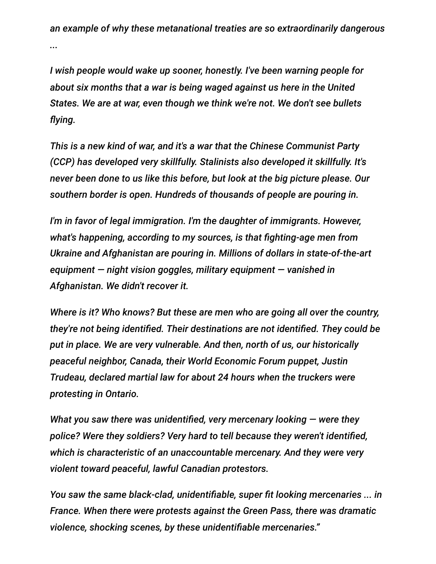*an example of why these metanational treaties are so extraordinarily dangerous ...*

*I wish people would wake up sooner, honestly. I've been warning people for about six months that a war is being waged against us here in the United States. We are at war, even though we think we're not. We don't see bullets flying.*

*This is a new kind of war, and it's a war that the Chinese Communist Party (CCP) has developed very skillfully. Stalinists also developed it skillfully. It's never been done to us like this before, but look at the big picture please. Our southern border is open. Hundreds of thousands of people are pouring in.*

*I'm in favor of legal immigration. I'm the daughter of immigrants. However, what's happening, according to my sources, is that fighting-age men from Ukraine and Afghanistan are pouring in. Millions of dollars in state-of-the-art equipment — night vision goggles, military equipment — vanished in Afghanistan. We didn't recover it.*

*Where is it? Who knows? But these are men who are going all over the country, they're not being identified. Their destinations are not identified. They could be put in place. We are very vulnerable. And then, north of us, our historically peaceful neighbor, Canada, their World Economic Forum puppet, Justin Trudeau, declared martial law for about 24 hours when the truckers were protesting in Ontario.*

*What you saw there was unidentified, very mercenary looking — were they police? Were they soldiers? Very hard to tell because they weren't identified, which is characteristic of an unaccountable mercenary. And they were very violent toward peaceful, lawful Canadian protestors.*

*You saw the same black-clad, unidentifiable, super fit looking mercenaries ... in France. When there were protests against the Green Pass, there was dramatic violence, shocking scenes, by these unidentifiable mercenaries."*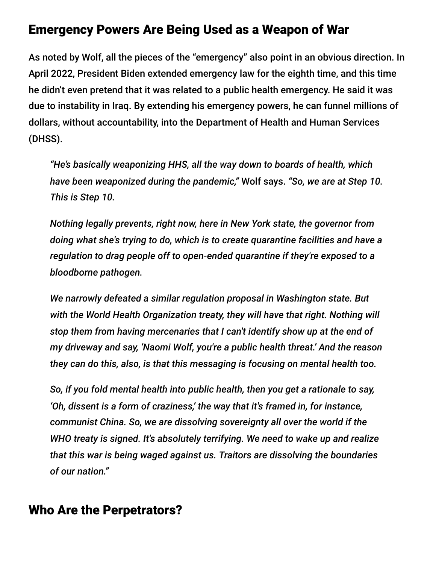#### Emergency Powers Are Being Used as a Weapon of War

As noted by Wolf, all the pieces of the "emergency" also point in an obvious direction. In April 2022, President Biden extended emergency law for the eighth time, and this time he didn't even pretend that it was related to a public health emergency. He said it was due to instability in Iraq. By extending his emergency powers, he can funnel millions of dollars, without accountability, into the Department of Health and Human Services (DHSS).

*"He's basically weaponizing HHS, all the way down to boards of health, which have been weaponized during the pandemic,"* Wolf says. *"So, we are at Step 10. This is Step 10.*

*Nothing legally prevents, right now, here in New York state, the governor from doing what she's trying to do, which is to create quarantine facilities and have a regulation to drag people off to open-ended quarantine if they're exposed to a bloodborne pathogen.*

*We narrowly defeated a similar regulation proposal in Washington state. But with the World Health Organization treaty, they will have that right. Nothing will stop them from having mercenaries that I can't identify show up at the end of my driveway and say, 'Naomi Wolf, you're a public health threat.' And the reason they can do this, also, is that this messaging is focusing on mental health too.*

*So, if you fold mental health into public health, then you get a rationale to say, 'Oh, dissent is a form of craziness,' the way that it's framed in, for instance, communist China. So, we are dissolving sovereignty all over the world if the WHO treaty is signed. It's absolutely terrifying. We need to wake up and realize that this war is being waged against us. Traitors are dissolving the boundaries of our nation."*

#### Who Are the Perpetrators?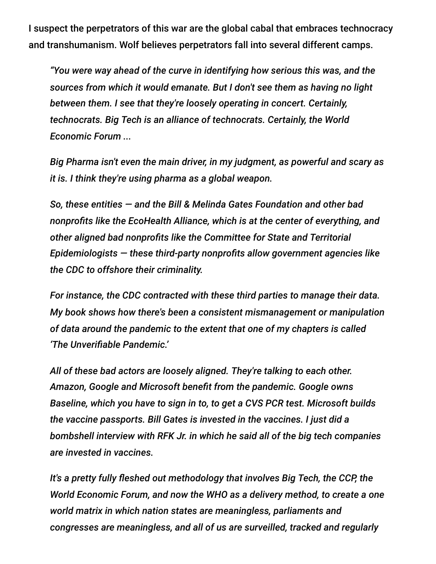I suspect the perpetrators of this war are the global cabal that embraces technocracy and transhumanism. Wolf believes perpetrators fall into several different camps.

*"You were way ahead of the curve in identifying how serious this was, and the sources from which it would emanate. But I don't see them as having no light between them. I see that they're loosely operating in concert. Certainly, technocrats. Big Tech is an alliance of technocrats. Certainly, the World Economic Forum ...*

*Big Pharma isn't even the main driver, in my judgment, as powerful and scary as it is. I think they're using pharma as a global weapon.*

*So, these entities — and the Bill & Melinda Gates Foundation and other bad nonprofits like the EcoHealth Alliance, which is at the center of everything, and other aligned bad nonprofits like the Committee for State and Territorial Epidemiologists — these third-party nonprofits allow government agencies like the CDC to offshore their criminality.*

*For instance, the CDC contracted with these third parties to manage their data. My book shows how there's been a consistent mismanagement or manipulation of data around the pandemic to the extent that one of my chapters is called 'The Unverifiable Pandemic.'*

*All of these bad actors are loosely aligned. They're talking to each other. Amazon, Google and Microsoft benefit from the pandemic. Google owns Baseline, which you have to sign in to, to get a CVS PCR test. Microsoft builds the vaccine passports. Bill Gates is invested in the vaccines. I just did a bombshell interview with RFK Jr. in which he said all of the big tech companies are invested in vaccines.*

*It's a pretty fully fleshed out methodology that involves Big Tech, the CCP, the World Economic Forum, and now the WHO as a delivery method, to create a one world matrix in which nation states are meaningless, parliaments and congresses are meaningless, and all of us are surveilled, tracked and regularly*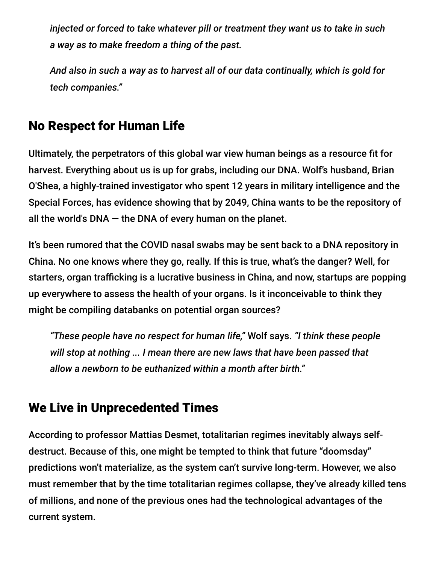*injected or forced to take whatever pill or treatment they want us to take in such a way as to make freedom a thing of the past.*

*And also in such a way as to harvest all of our data continually, which is gold for tech companies."*

## No Respect for Human Life

Ultimately, the perpetrators of this global war view human beings as a resource fit for harvest. Everything about us is up for grabs, including our DNA. Wolf's husband, Brian O'Shea, a highly-trained investigator who spent 12 years in military intelligence and the Special Forces, has evidence showing that by 2049, China wants to be the repository of all the world's DNA  $-$  the DNA of every human on the planet.

It's been rumored that the COVID nasal swabs may be sent back to a DNA repository in China. No one knows where they go, really. If this is true, what's the danger? Well, for starters, organ trafficking is a lucrative business in China, and now, startups are popping up everywhere to assess the health of your organs. Is it inconceivable to think they might be compiling databanks on potential organ sources?

*"These people have no respect for human life,"* Wolf says. *"I think these people will stop at nothing ... I mean there are new laws that have been passed that allow a newborn to be euthanized within a month after birth."*

## We Live in Unprecedented Times

According to professor Mattias Desmet, totalitarian regimes inevitably always selfdestruct. Because of this, one might be tempted to think that future "doomsday" predictions won't materialize, as the system can't survive long-term. However, we also must remember that by the time totalitarian regimes collapse, they've already killed tens of millions, and none of the previous ones had the technological advantages of the current system.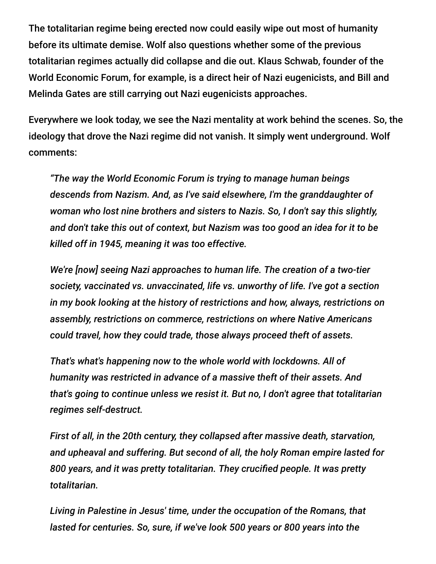The totalitarian regime being erected now could easily wipe out most of humanity before its ultimate demise. Wolf also questions whether some of the previous totalitarian regimes actually did collapse and die out. Klaus Schwab, founder of the World Economic Forum, for example, is a direct heir of Nazi eugenicists, and Bill and Melinda Gates are still carrying out Nazi eugenicists approaches.

Everywhere we look today, we see the Nazi mentality at work behind the scenes. So, the ideology that drove the Nazi regime did not vanish. It simply went underground. Wolf comments:

*"The way the World Economic Forum is trying to manage human beings descends from Nazism. And, as I've said elsewhere, I'm the granddaughter of woman who lost nine brothers and sisters to Nazis. So, I don't say this slightly, and don't take this out of context, but Nazism was too good an idea for it to be killed off in 1945, meaning it was too effective.*

*We're [now] seeing Nazi approaches to human life. The creation of a two-tier society, vaccinated vs. unvaccinated, life vs. unworthy of life. I've got a section in my book looking at the history of restrictions and how, always, restrictions on assembly, restrictions on commerce, restrictions on where Native Americans could travel, how they could trade, those always proceed theft of assets.*

*That's what's happening now to the whole world with lockdowns. All of humanity was restricted in advance of a massive theft of their assets. And that's going to continue unless we resist it. But no, I don't agree that totalitarian regimes self-destruct.*

*First of all, in the 20th century, they collapsed after massive death, starvation, and upheaval and suffering. But second of all, the holy Roman empire lasted for 800 years, and it was pretty totalitarian. They crucified people. It was pretty totalitarian.*

*Living in Palestine in Jesus' time, under the occupation of the Romans, that lasted for centuries. So, sure, if we've look 500 years or 800 years into the*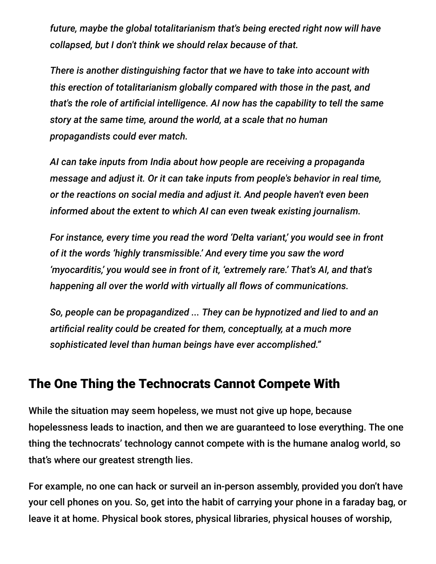*future, maybe the global totalitarianism that's being erected right now will have collapsed, but I don't think we should relax because of that.*

*There is another distinguishing factor that we have to take into account with this erection of totalitarianism globally compared with those in the past, and that's the role of artificial intelligence. AI now has the capability to tell the same story at the same time, around the world, at a scale that no human propagandists could ever match.*

*AI can take inputs from India about how people are receiving a propaganda message and adjust it. Or it can take inputs from people's behavior in real time, or the reactions on social media and adjust it. And people haven't even been informed about the extent to which AI can even tweak existing journalism.*

*For instance, every time you read the word 'Delta variant,' you would see in front of it the words 'highly transmissible.' And every time you saw the word 'myocarditis,' you would see in front of it, 'extremely rare.' That's AI, and that's happening all over the world with virtually all flows of communications.*

*So, people can be propagandized ... They can be hypnotized and lied to and an artificial reality could be created for them, conceptually, at a much more sophisticated level than human beings have ever accomplished."*

#### The One Thing the Technocrats Cannot Compete With

While the situation may seem hopeless, we must not give up hope, because hopelessness leads to inaction, and then we are guaranteed to lose everything. The one thing the technocrats' technology cannot compete with is the humane analog world, so that's where our greatest strength lies.

For example, no one can hack or surveil an in-person assembly, provided you don't have your cell phones on you. So, get into the habit of carrying your phone in a faraday bag, or leave it at home. Physical book stores, physical libraries, physical houses of worship,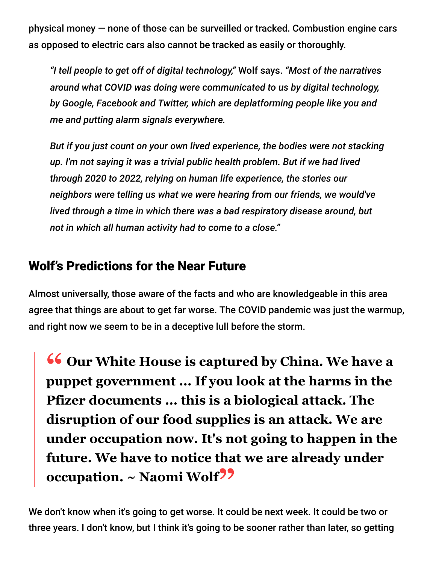physical money — none of those can be surveilled or tracked. Combustion engine cars as opposed to electric cars also cannot be tracked as easily or thoroughly.

*"I tell people to get off of digital technology,"* Wolf says. *"Most of the narratives around what COVID was doing were communicated to us by digital technology, by Google, Facebook and Twitter, which are deplatforming people like you and me and putting alarm signals everywhere.*

*But if you just count on your own lived experience, the bodies were not stacking up. I'm not saying it was a trivial public health problem. But if we had lived through 2020 to 2022, relying on human life experience, the stories our neighbors were telling us what we were hearing from our friends, we would've lived through a time in which there was a bad respiratory disease around, but not in which all human activity had to come to a close."*

### Wolf's Predictions for the Near Future

Almost universally, those aware of the facts and who are knowledgeable in this area agree that things are about to get far worse. The COVID pandemic was just the warmup, and right now we seem to be in a deceptive lull before the storm.

**<sup>66</sup> Our White House is captured by China. We have a**<br> **EXPLO THE MOVE SET ON THE SET ON A SET ON A SET ON A SET ON A SET ON A SET ON A SET ON A SET ON A SET ON A SET O puppet government ... If you look at the harms in the Pfizer documents ... this is a biological attack. The disruption of our food supplies is an attack. We are under occupation now. It's not going to happen in the future. We have to notice that we are already under occupation. ~ Naomi Wolf"**

We don't know when it's going to get worse. It could be next week. It could be two or three years. I don't know, but I think it's going to be sooner rather than later, so getting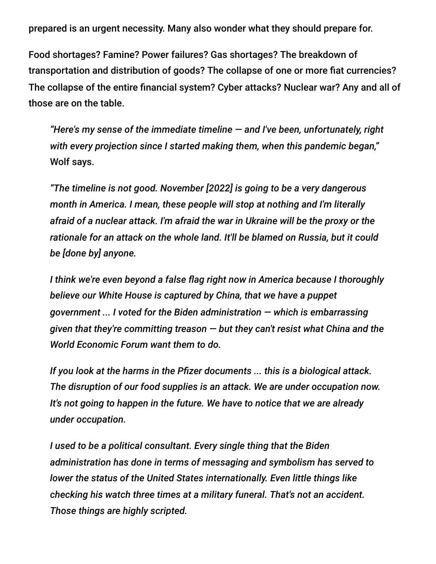prepared is an urgent necessity. Many also wonder what they should prepare for.

Food shortages? Famine? Power failures? Gas shortages? The breakdown of transportation and distribution of goods? The collapse of one or more fiat currencies? The collapse of the entire financial system? Cyber attacks? Nuclear war? Any and all of those are on the table.

*"Here's my sense of the immediate timeline — and I've been, unfortunately, right with every projection since I started making them, when this pandemic began,"* Wolf says.

*"The timeline is not good. November [2022] is going to be a very dangerous month in America. I mean, these people will stop at nothing and I'm literally afraid of a nuclear attack. I'm afraid the war in Ukraine will be the proxy or the rationale for an attack on the whole land. It'll be blamed on Russia, but it could be [done by] anyone.*

*I think we're even beyond a false flag right now in America because I thoroughly believe our White House is captured by China, that we have a puppet government ... I voted for the Biden administration — which is embarrassing given that they're committing treason — but they can't resist what China and the World Economic Forum want them to do.*

*If you look at the harms in the Pfizer documents ... this is a biological attack. The disruption of our food supplies is an attack. We are under occupation now. It's not going to happen in the future. We have to notice that we are already under occupation.*

*I used to be a political consultant. Every single thing that the Biden administration has done in terms of messaging and symbolism has served to lower the status of the United States internationally. Even little things like checking his watch three times at a military funeral. That's not an accident. Those things are highly scripted.*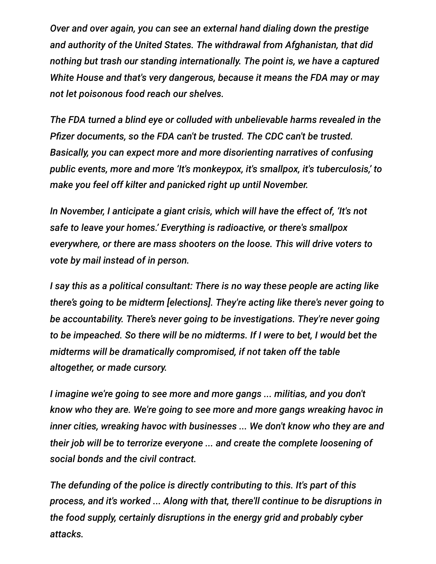*Over and over again, you can see an external hand dialing down the prestige and authority of the United States. The withdrawal from Afghanistan, that did nothing but trash our standing internationally. The point is, we have a captured White House and that's very dangerous, because it means the FDA may or may not let poisonous food reach our shelves.*

*The FDA turned a blind eye or colluded with unbelievable harms revealed in the Pfizer documents, so the FDA can't be trusted. The CDC can't be trusted. Basically, you can expect more and more disorienting narratives of confusing public events, more and more 'It's monkeypox, it's smallpox, it's tuberculosis,' to make you feel off kilter and panicked right up until November.*

*In November, I anticipate a giant crisis, which will have the effect of, 'It's not safe to leave your homes.' Everything is radioactive, or there's smallpox everywhere, or there are mass shooters on the loose. This will drive voters to vote by mail instead of in person.*

*I say this as a political consultant: There is no way these people are acting like there's going to be midterm [elections]. They're acting like there's never going to be accountability. There's never going to be investigations. They're never going to be impeached. So there will be no midterms. If I were to bet, I would bet the midterms will be dramatically compromised, if not taken off the table altogether, or made cursory.*

*I imagine we're going to see more and more gangs ... militias, and you don't know who they are. We're going to see more and more gangs wreaking havoc in inner cities, wreaking havoc with businesses ... We don't know who they are and their job will be to terrorize everyone ... and create the complete loosening of social bonds and the civil contract.*

*The defunding of the police is directly contributing to this. It's part of this process, and it's worked ... Along with that, there'll continue to be disruptions in the food supply, certainly disruptions in the energy grid and probably cyber attacks.*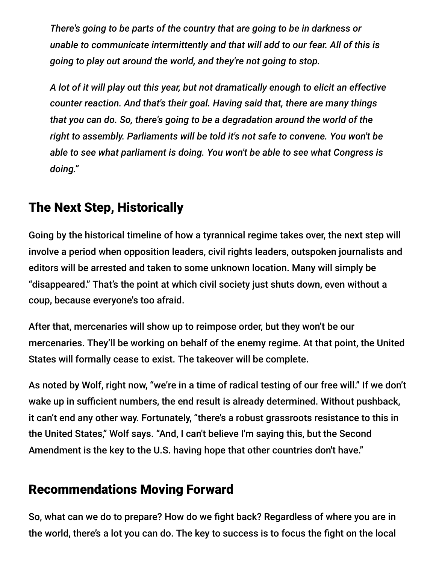*There's going to be parts of the country that are going to be in darkness or unable to communicate intermittently and that will add to our fear. All of this is going to play out around the world, and they're not going to stop.*

*A lot of it will play out this year, but not dramatically enough to elicit an effective counter reaction. And that's their goal. Having said that, there are many things that you can do. So, there's going to be a degradation around the world of the right to assembly. Parliaments will be told it's not safe to convene. You won't be able to see what parliament is doing. You won't be able to see what Congress is doing."*

## The Next Step, Historically

Going by the historical timeline of how a tyrannical regime takes over, the next step will involve a period when opposition leaders, civil rights leaders, outspoken journalists and editors will be arrested and taken to some unknown location. Many will simply be "disappeared." That's the point at which civil society just shuts down, even without a coup, because everyone's too afraid.

After that, mercenaries will show up to reimpose order, but they won't be our mercenaries. They'll be working on behalf of the enemy regime. At that point, the United States will formally cease to exist. The takeover will be complete.

As noted by Wolf, right now, "we're in a time of radical testing of our free will." If we don't wake up in sufficient numbers, the end result is already determined. Without pushback, it can't end any other way. Fortunately, "there's a robust grassroots resistance to this in the United States," Wolf says. "And, I can't believe I'm saying this, but the Second Amendment is the key to the U.S. having hope that other countries don't have."

# Recommendations Moving Forward

So, what can we do to prepare? How do we fight back? Regardless of where you are in the world, there's a lot you can do. The key to success is to focus the fight on the local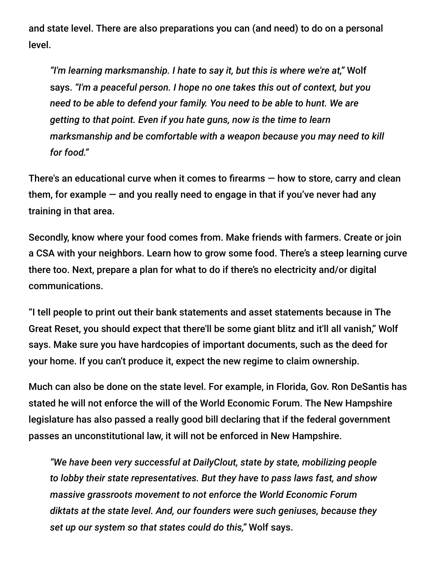and state level. There are also preparations you can (and need) to do on a personal level.

*"I'm learning marksmanship. I hate to say it, but this is where we're at,"* Wolf says. *"I'm a peaceful person. I hope no one takes this out of context, but you need to be able to defend your family. You need to be able to hunt. We are getting to that point. Even if you hate guns, now is the time to learn marksmanship and be comfortable with a weapon because you may need to kill for food."*

There's an educational curve when it comes to firearms — how to store, carry and clean them, for example — and you really need to engage in that if you've never had any training in that area.

Secondly, know where your food comes from. Make friends with farmers. Create or join a CSA with your neighbors. Learn how to grow some food. There's a steep learning curve there too. Next, prepare a plan for what to do if there's no electricity and/or digital communications.

"I tell people to print out their bank statements and asset statements because in The Great Reset, you should expect that there'll be some giant blitz and it'll all vanish," Wolf says. Make sure you have hardcopies of important documents, such as the deed for your home. If you can't produce it, expect the new regime to claim ownership.

Much can also be done on the state level. For example, in Florida, Gov. Ron DeSantis has stated he will not enforce the will of the World Economic Forum. The New Hampshire legislature has also passed a really good bill declaring that if the federal government passes an unconstitutional law, it will not be enforced in New Hampshire.

*"We have been very successful at DailyClout, state by state, mobilizing people to lobby their state representatives. But they have to pass laws fast, and show massive grassroots movement to not enforce the World Economic Forum diktats at the state level. And, our founders were such geniuses, because they set up our system so that states could do this,"* Wolf says.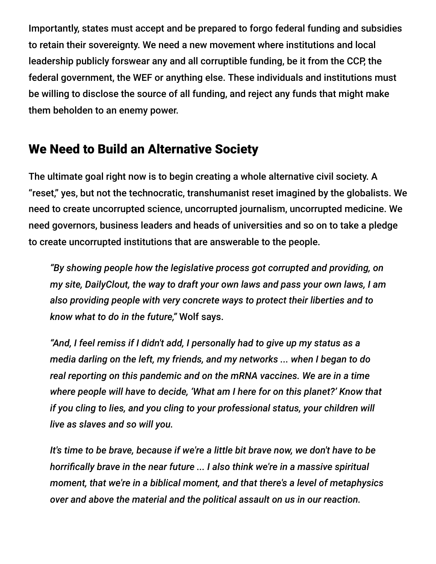Importantly, states must accept and be prepared to forgo federal funding and subsidies to retain their sovereignty. We need a new movement where institutions and local leadership publicly forswear any and all corruptible funding, be it from the CCP, the federal government, the WEF or anything else. These individuals and institutions must be willing to disclose the source of all funding, and reject any funds that might make them beholden to an enemy power.

### We Need to Build an Alternative Society

The ultimate goal right now is to begin creating a whole alternative civil society. A "reset," yes, but not the technocratic, transhumanist reset imagined by the globalists. We need to create uncorrupted science, uncorrupted journalism, uncorrupted medicine. We need governors, business leaders and heads of universities and so on to take a pledge to create uncorrupted institutions that are answerable to the people.

*"By showing people how the legislative process got corrupted and providing, on my site, DailyClout, the way to draft your own laws and pass your own laws, I am also providing people with very concrete ways to protect their liberties and to know what to do in the future,"* Wolf says.

*"And, I feel remiss if I didn't add, I personally had to give up my status as a media darling on the left, my friends, and my networks ... when I began to do real reporting on this pandemic and on the mRNA vaccines. We are in a time where people will have to decide, 'What am I here for on this planet?' Know that if you cling to lies, and you cling to your professional status, your children will live as slaves and so will you.*

*It's time to be brave, because if we're a little bit brave now, we don't have to be horrifically brave in the near future ... I also think we're in a massive spiritual moment, that we're in a biblical moment, and that there's a level of metaphysics over and above the material and the political assault on us in our reaction.*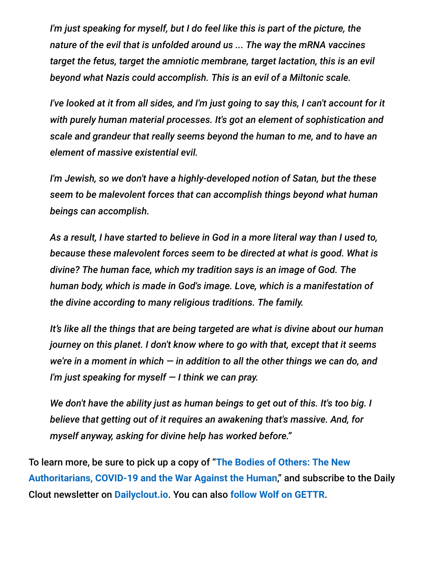*I'm just speaking for myself, but I do feel like this is part of the picture, the nature of the evil that is unfolded around us ... The way the mRNA vaccines target the fetus, target the amniotic membrane, target lactation, this is an evil beyond what Nazis could accomplish. This is an evil of a Miltonic scale.*

*I've looked at it from all sides, and I'm just going to say this, I can't account for it with purely human material processes. It's got an element of sophistication and scale and grandeur that really seems beyond the human to me, and to have an element of massive existential evil.*

*I'm Jewish, so we don't have a highly-developed notion of Satan, but the these seem to be malevolent forces that can accomplish things beyond what human beings can accomplish.*

*As a result, I have started to believe in God in a more literal way than I used to, because these malevolent forces seem to be directed at what is good. What is divine? The human face, which my tradition says is an image of God. The human body, which is made in God's image. Love, which is a manifestation of the divine according to many religious traditions. The family.*

*It's like all the things that are being targeted are what is divine about our human journey on this planet. I don't know where to go with that, except that it seems we're in a moment in which — in addition to all the other things we can do, and I'm just speaking for myself — I think we can pray.*

*We don't have the ability just as human beings to get out of this. It's too big. I believe that getting out of it requires an awakening that's massive. And, for myself anyway, asking for divine help has worked before."*

To learn more, be sure to pick up a copy of "**The Bodies of Others: The New [Authoritarians, COVID-19 and the War Against the Human](https://www.allseasonspress.com/the-bodies-of-others)**," and subscribe to the Daily Clout newsletter on **[Dailyclout.io](https://dailyclout.io/)**. You can also **[follow Wolf on GETTR](https://gettr.com/user/drnaomirwolf)**.